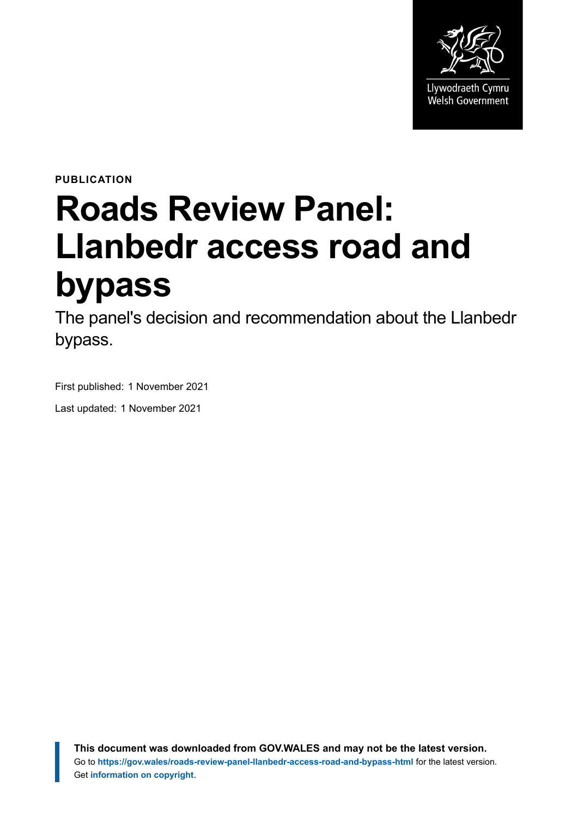

**PUBLICATION**

# **Roads Review Panel: Llanbedr access road and bypass**

The panel's decision and recommendation about the Llanbedr bypass.

First published: 1 November 2021

Last updated: 1 November 2021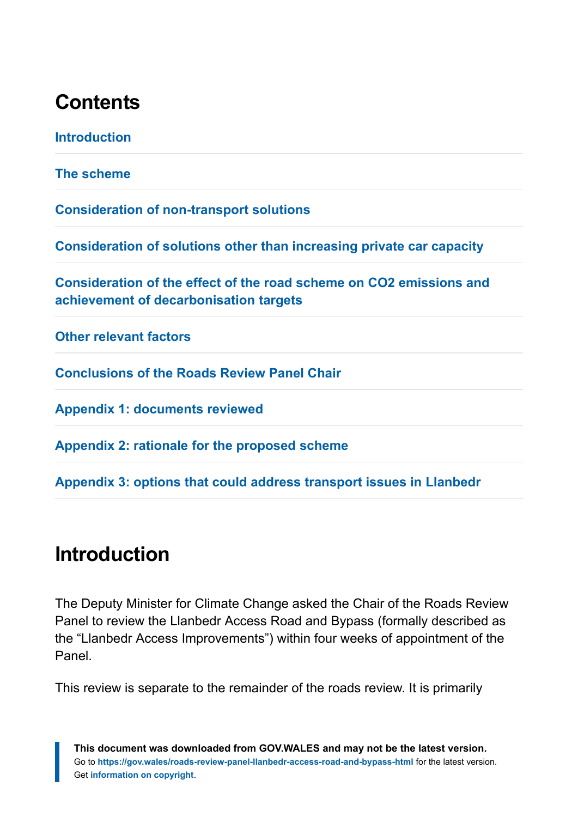## **Contents**

| <b>Introduction</b>                                                                                           |
|---------------------------------------------------------------------------------------------------------------|
| The scheme                                                                                                    |
| <b>Consideration of non-transport solutions</b>                                                               |
| Consideration of solutions other than increasing private car capacity                                         |
| Consideration of the effect of the road scheme on CO2 emissions and<br>achievement of decarbonisation targets |
| <b>Other relevant factors</b>                                                                                 |
| <b>Conclusions of the Roads Review Panel Chair</b>                                                            |
| <b>Appendix 1: documents reviewed</b>                                                                         |
| Appendix 2: rationale for the proposed scheme                                                                 |
| Appendix 3: options that could address transport issues in Llanbedr                                           |

# <span id="page-1-0"></span>**Introduction**

The Deputy Minister for Climate Change asked the Chair of the Roads Review Panel to review the Llanbedr Access Road and Bypass (formally described as the "Llanbedr Access Improvements") within four weeks of appointment of the Panel.

This review is separate to the remainder of the roads review. It is primarily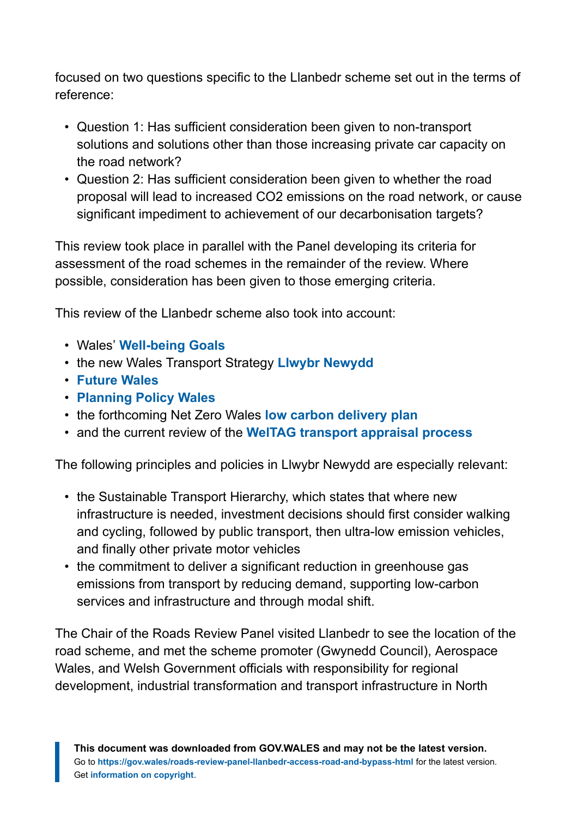focused on two questions specific to the Llanbedr scheme set out in the terms of reference:

- Question 1: Has sufficient consideration been given to non-transport solutions and solutions other than those increasing private car capacity on the road network?
- Question 2: Has sufficient consideration been given to whether the road proposal will lead to increased CO2 emissions on the road network, or cause significant impediment to achievement of our decarbonisation targets?

This review took place in parallel with the Panel developing its criteria for assessment of the road schemes in the remainder of the review. Where possible, consideration has been given to those emerging criteria.

This review of the Llanbedr scheme also took into account:

- Wales' **[Well-being Goals](https://gov.wales/well-being-future-generations)**
- the new Wales Transport Strategy **[Llwybr Newydd](https://gov.wales/llwybr-newydd-wales-transport-strategy-2021)**
- **[Future Wales](https://gov.wales/future-wales-national-plan-2040)**
- **[Planning Policy Wales](https://gov.wales/planning-policy-wales)**
- the forthcoming Net Zero Wales **[low carbon delivery plan](https://gov.wales/low-carbon-delivery-plan)**
- and the current review of the **[WelTAG transport appraisal process](https://gov.wales/welsh-transport-appraisal-guidance-weltag)**

The following principles and policies in Llwybr Newydd are especially relevant:

- the Sustainable Transport Hierarchy, which states that where new infrastructure is needed, investment decisions should first consider walking and cycling, followed by public transport, then ultra-low emission vehicles, and finally other private motor vehicles
- the commitment to deliver a significant reduction in greenhouse gas emissions from transport by reducing demand, supporting low-carbon services and infrastructure and through modal shift.

The Chair of the Roads Review Panel visited Llanbedr to see the location of the road scheme, and met the scheme promoter (Gwynedd Council), Aerospace Wales, and Welsh Government officials with responsibility for regional development, industrial transformation and transport infrastructure in North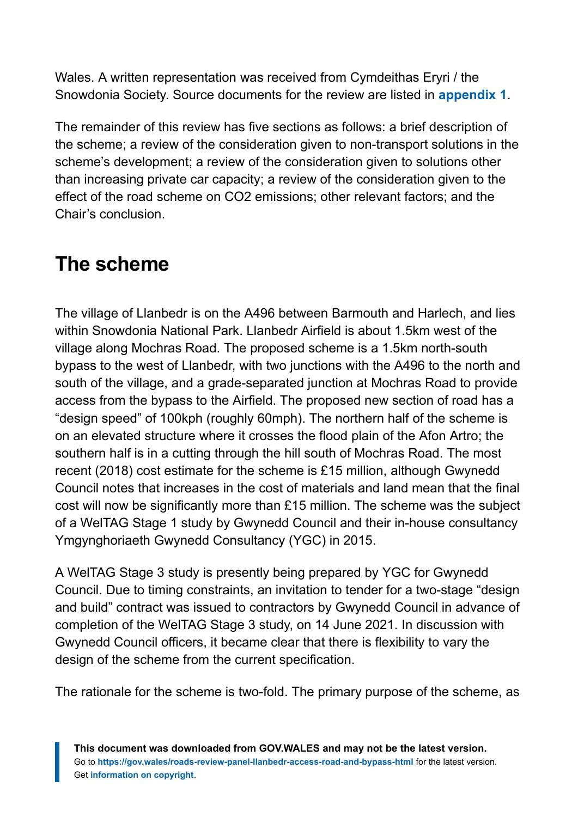Wales. A written representation was received from Cymdeithas Eryri / the Snowdonia Society. Source documents for the review are listed in **[appendix 1](https://gov.wales/roads-review-panel-llanbedr-access-road-and-bypass-html#section-83685)**.

The remainder of this review has five sections as follows: a brief description of the scheme; a review of the consideration given to non-transport solutions in the scheme's development; a review of the consideration given to solutions other than increasing private car capacity; a review of the consideration given to the effect of the road scheme on CO2 emissions; other relevant factors; and the Chair's conclusion.

# <span id="page-3-0"></span>**The scheme**

The village of Llanbedr is on the A496 between Barmouth and Harlech, and lies within Snowdonia National Park. Llanbedr Airfield is about 1.5km west of the village along Mochras Road. The proposed scheme is a 1.5km north-south bypass to the west of Llanbedr, with two junctions with the A496 to the north and south of the village, and a grade-separated junction at Mochras Road to provide access from the bypass to the Airfield. The proposed new section of road has a "design speed" of 100kph (roughly 60mph). The northern half of the scheme is on an elevated structure where it crosses the flood plain of the Afon Artro; the southern half is in a cutting through the hill south of Mochras Road. The most recent (2018) cost estimate for the scheme is £15 million, although Gwynedd Council notes that increases in the cost of materials and land mean that the final cost will now be significantly more than £15 million. The scheme was the subject of a WelTAG Stage 1 study by Gwynedd Council and their in-house consultancy Ymgynghoriaeth Gwynedd Consultancy (YGC) in 2015.

A WelTAG Stage 3 study is presently being prepared by YGC for Gwynedd Council. Due to timing constraints, an invitation to tender for a two-stage "design and build" contract was issued to contractors by Gwynedd Council in advance of completion of the WelTAG Stage 3 study, on 14 June 2021. In discussion with Gwynedd Council officers, it became clear that there is flexibility to vary the design of the scheme from the current specification.

The rationale for the scheme is two-fold. The primary purpose of the scheme, as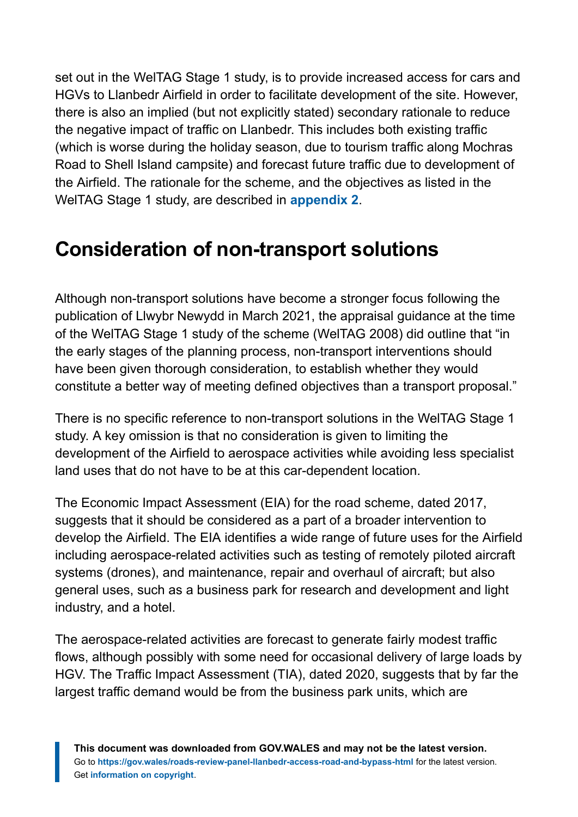set out in the WelTAG Stage 1 study, is to provide increased access for cars and HGVs to Llanbedr Airfield in order to facilitate development of the site. However, there is also an implied (but not explicitly stated) secondary rationale to reduce the negative impact of traffic on Llanbedr. This includes both existing traffic (which is worse during the holiday season, due to tourism traffic along Mochras Road to Shell Island campsite) and forecast future traffic due to development of the Airfield. The rationale for the scheme, and the objectives as listed in the WelTAG Stage 1 study, are described in **[appendix 2](https://gov.wales/roads-review-panel-llanbedr-access-road-and-bypass-html#section-83687)**.

## <span id="page-4-0"></span>**Consideration of non-transport solutions**

Although non-transport solutions have become a stronger focus following the publication of Llwybr Newydd in March 2021, the appraisal guidance at the time of the WelTAG Stage 1 study of the scheme (WelTAG 2008) did outline that "in the early stages of the planning process, non-transport interventions should have been given thorough consideration, to establish whether they would constitute a better way of meeting defined objectives than a transport proposal."

There is no specific reference to non-transport solutions in the WelTAG Stage 1 study. A key omission is that no consideration is given to limiting the development of the Airfield to aerospace activities while avoiding less specialist land uses that do not have to be at this car-dependent location.

The Economic Impact Assessment (EIA) for the road scheme, dated 2017, suggests that it should be considered as a part of a broader intervention to develop the Airfield. The EIA identifies a wide range of future uses for the Airfield including aerospace-related activities such as testing of remotely piloted aircraft systems (drones), and maintenance, repair and overhaul of aircraft; but also general uses, such as a business park for research and development and light industry, and a hotel.

The aerospace-related activities are forecast to generate fairly modest traffic flows, although possibly with some need for occasional delivery of large loads by HGV. The Traffic Impact Assessment (TIA), dated 2020, suggests that by far the largest traffic demand would be from the business park units, which are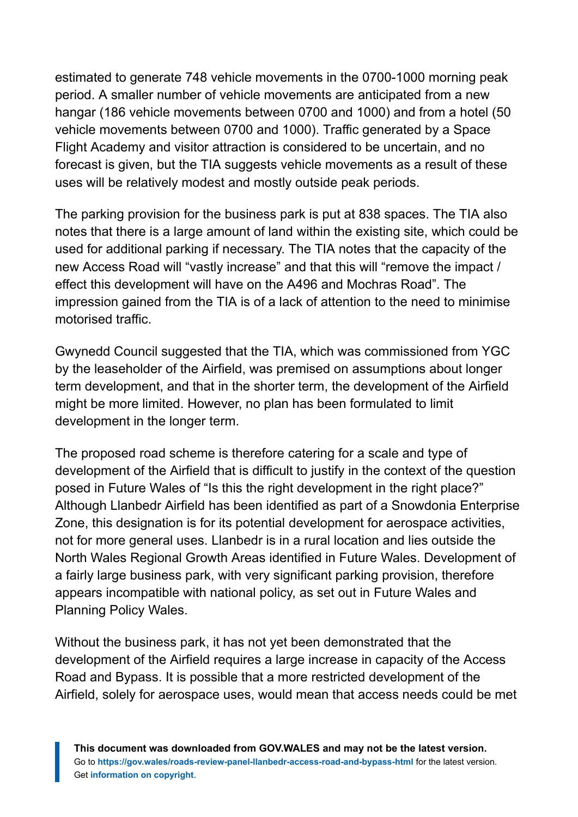estimated to generate 748 vehicle movements in the 0700-1000 morning peak period. A smaller number of vehicle movements are anticipated from a new hangar (186 vehicle movements between 0700 and 1000) and from a hotel (50 vehicle movements between 0700 and 1000). Traffic generated by a Space Flight Academy and visitor attraction is considered to be uncertain, and no forecast is given, but the TIA suggests vehicle movements as a result of these uses will be relatively modest and mostly outside peak periods.

The parking provision for the business park is put at 838 spaces. The TIA also notes that there is a large amount of land within the existing site, which could be used for additional parking if necessary. The TIA notes that the capacity of the new Access Road will "vastly increase" and that this will "remove the impact / effect this development will have on the A496 and Mochras Road". The impression gained from the TIA is of a lack of attention to the need to minimise motorised traffic.

Gwynedd Council suggested that the TIA, which was commissioned from YGC by the leaseholder of the Airfield, was premised on assumptions about longer term development, and that in the shorter term, the development of the Airfield might be more limited. However, no plan has been formulated to limit development in the longer term.

The proposed road scheme is therefore catering for a scale and type of development of the Airfield that is difficult to justify in the context of the question posed in Future Wales of "Is this the right development in the right place?" Although Llanbedr Airfield has been identified as part of a Snowdonia Enterprise Zone, this designation is for its potential development for aerospace activities, not for more general uses. Llanbedr is in a rural location and lies outside the North Wales Regional Growth Areas identified in Future Wales. Development of a fairly large business park, with very significant parking provision, therefore appears incompatible with national policy, as set out in Future Wales and Planning Policy Wales.

Without the business park, it has not yet been demonstrated that the development of the Airfield requires a large increase in capacity of the Access Road and Bypass. It is possible that a more restricted development of the Airfield, solely for aerospace uses, would mean that access needs could be met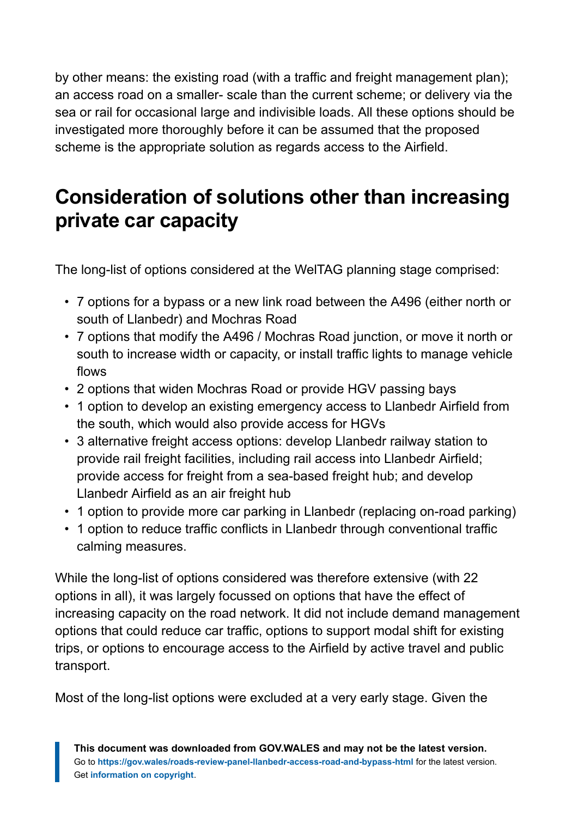by other means: the existing road (with a traffic and freight management plan); an access road on a smaller- scale than the current scheme; or delivery via the sea or rail for occasional large and indivisible loads. All these options should be investigated more thoroughly before it can be assumed that the proposed scheme is the appropriate solution as regards access to the Airfield.

# <span id="page-6-0"></span>**Consideration of solutions other than increasing private car capacity**

The long-list of options considered at the WelTAG planning stage comprised:

- 7 options for a bypass or a new link road between the A496 (either north or south of Llanbedr) and Mochras Road
- 7 options that modify the A496 / Mochras Road junction, or move it north or south to increase width or capacity, or install traffic lights to manage vehicle flows
- 2 options that widen Mochras Road or provide HGV passing bays
- 1 option to develop an existing emergency access to Llanbedr Airfield from the south, which would also provide access for HGVs
- 3 alternative freight access options: develop Llanbedr railway station to provide rail freight facilities, including rail access into Llanbedr Airfield; provide access for freight from a sea-based freight hub; and develop Llanbedr Airfield as an air freight hub
- 1 option to provide more car parking in Llanbedr (replacing on-road parking)
- 1 option to reduce traffic conflicts in Llanbedr through conventional traffic calming measures.

While the long-list of options considered was therefore extensive (with 22 options in all), it was largely focussed on options that have the effect of increasing capacity on the road network. It did not include demand management options that could reduce car traffic, options to support modal shift for existing trips, or options to encourage access to the Airfield by active travel and public transport.

Most of the long-list options were excluded at a very early stage. Given the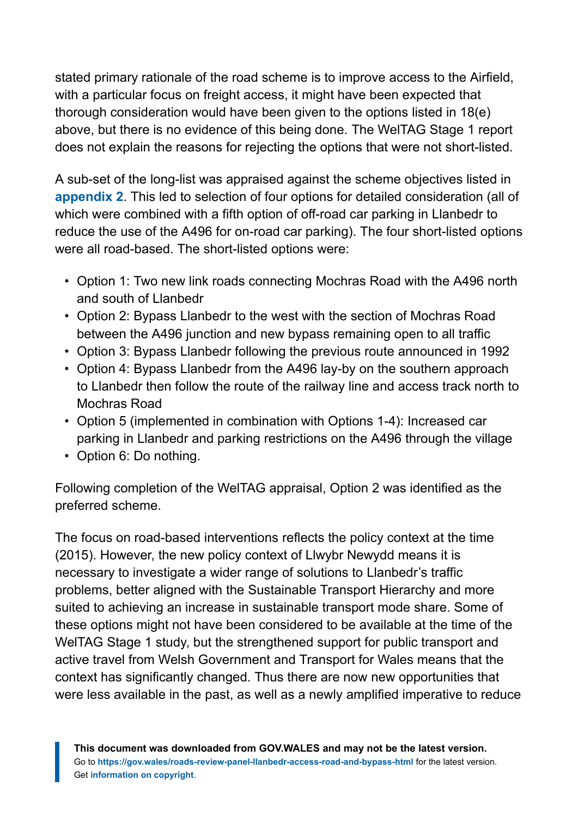stated primary rationale of the road scheme is to improve access to the Airfield, with a particular focus on freight access, it might have been expected that thorough consideration would have been given to the options listed in 18(e) above, but there is no evidence of this being done. The WelTAG Stage 1 report does not explain the reasons for rejecting the options that were not short-listed.

A sub-set of the long-list was appraised against the scheme objectives listed in **[appendix 2](https://gov.wales/roads-review-panel-llanbedr-access-road-and-bypass-html#section-83687)**. This led to selection of four options for detailed consideration (all of which were combined with a fifth option of off-road car parking in Llanbedr to reduce the use of the A496 for on-road car parking). The four short-listed options were all road-based. The short-listed options were:

- Option 1: Two new link roads connecting Mochras Road with the A496 north and south of Llanbedr
- Option 2: Bypass Llanbedr to the west with the section of Mochras Road between the A496 junction and new bypass remaining open to all traffic
- Option 3: Bypass Llanbedr following the previous route announced in 1992
- Option 4: Bypass Llanbedr from the A496 lay-by on the southern approach to Llanbedr then follow the route of the railway line and access track north to Mochras Road
- Option 5 (implemented in combination with Options 1-4): Increased car parking in Llanbedr and parking restrictions on the A496 through the village
- Option 6: Do nothing.

Following completion of the WelTAG appraisal, Option 2 was identified as the preferred scheme.

The focus on road-based interventions reflects the policy context at the time (2015). However, the new policy context of Llwybr Newydd means it is necessary to investigate a wider range of solutions to Llanbedr's traffic problems, better aligned with the Sustainable Transport Hierarchy and more suited to achieving an increase in sustainable transport mode share. Some of these options might not have been considered to be available at the time of the WelTAG Stage 1 study, but the strengthened support for public transport and active travel from Welsh Government and Transport for Wales means that the context has significantly changed. Thus there are now new opportunities that were less available in the past, as well as a newly amplified imperative to reduce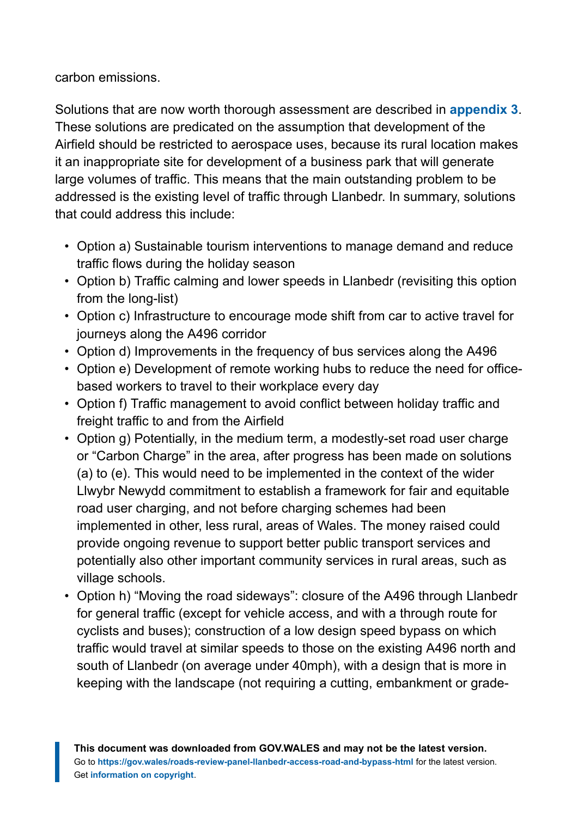carbon emissions.

Solutions that are now worth thorough assessment are described in **[appendix 3](https://gov.wales/roads-review-panel-llanbedr-access-road-and-bypass-html#section-83689)**. These solutions are predicated on the assumption that development of the Airfield should be restricted to aerospace uses, because its rural location makes it an inappropriate site for development of a business park that will generate large volumes of traffic. This means that the main outstanding problem to be addressed is the existing level of traffic through Llanbedr. In summary, solutions that could address this include:

- Option a) Sustainable tourism interventions to manage demand and reduce traffic flows during the holiday season
- Option b) Traffic calming and lower speeds in Llanbedr (revisiting this option from the long-list)
- Option c) Infrastructure to encourage mode shift from car to active travel for journeys along the A496 corridor
- Option d) Improvements in the frequency of bus services along the A496
- Option e) Development of remote working hubs to reduce the need for officebased workers to travel to their workplace every day
- Option f) Traffic management to avoid conflict between holiday traffic and freight traffic to and from the Airfield
- Option g) Potentially, in the medium term, a modestly-set road user charge or "Carbon Charge" in the area, after progress has been made on solutions (a) to (e). This would need to be implemented in the context of the wider Llwybr Newydd commitment to establish a framework for fair and equitable road user charging, and not before charging schemes had been implemented in other, less rural, areas of Wales. The money raised could provide ongoing revenue to support better public transport services and potentially also other important community services in rural areas, such as village schools.
- Option h) "Moving the road sideways": closure of the A496 through Llanbedr for general traffic (except for vehicle access, and with a through route for cyclists and buses); construction of a low design speed bypass on which traffic would travel at similar speeds to those on the existing A496 north and south of Llanbedr (on average under 40mph), with a design that is more in keeping with the landscape (not requiring a cutting, embankment or grade-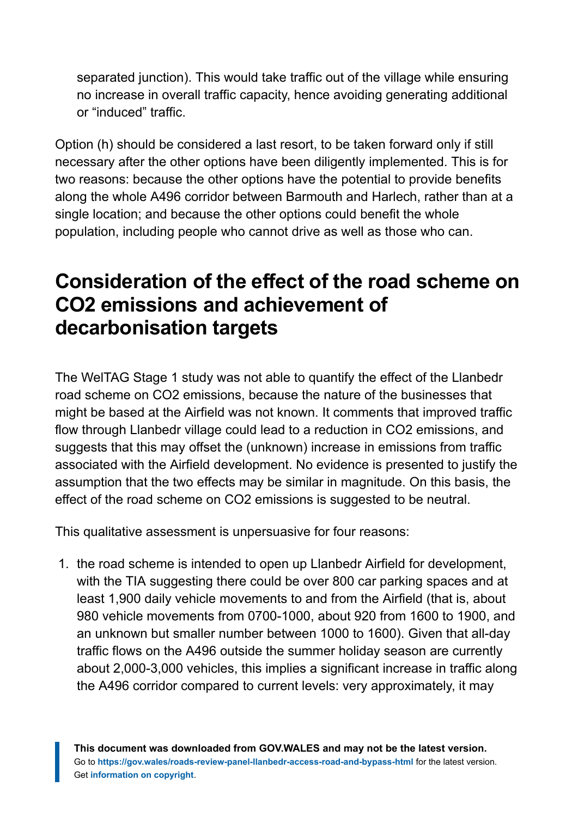separated junction). This would take traffic out of the village while ensuring no increase in overall traffic capacity, hence avoiding generating additional or "induced" traffic.

Option (h) should be considered a last resort, to be taken forward only if still necessary after the other options have been diligently implemented. This is for two reasons: because the other options have the potential to provide benefits along the whole A496 corridor between Barmouth and Harlech, rather than at a single location; and because the other options could benefit the whole population, including people who cannot drive as well as those who can.

# <span id="page-9-0"></span>**Consideration of the effect of the road scheme on CO2 emissions and achievement of decarbonisation targets**

The WelTAG Stage 1 study was not able to quantify the effect of the Llanbedr road scheme on CO2 emissions, because the nature of the businesses that might be based at the Airfield was not known. It comments that improved traffic flow through Llanbedr village could lead to a reduction in CO2 emissions, and suggests that this may offset the (unknown) increase in emissions from traffic associated with the Airfield development. No evidence is presented to justify the assumption that the two effects may be similar in magnitude. On this basis, the effect of the road scheme on CO2 emissions is suggested to be neutral.

This qualitative assessment is unpersuasive for four reasons:

1. the road scheme is intended to open up Llanbedr Airfield for development, with the TIA suggesting there could be over 800 car parking spaces and at least 1,900 daily vehicle movements to and from the Airfield (that is, about 980 vehicle movements from 0700-1000, about 920 from 1600 to 1900, and an unknown but smaller number between 1000 to 1600). Given that all-day traffic flows on the A496 outside the summer holiday season are currently about 2,000-3,000 vehicles, this implies a significant increase in traffic along the A496 corridor compared to current levels: very approximately, it may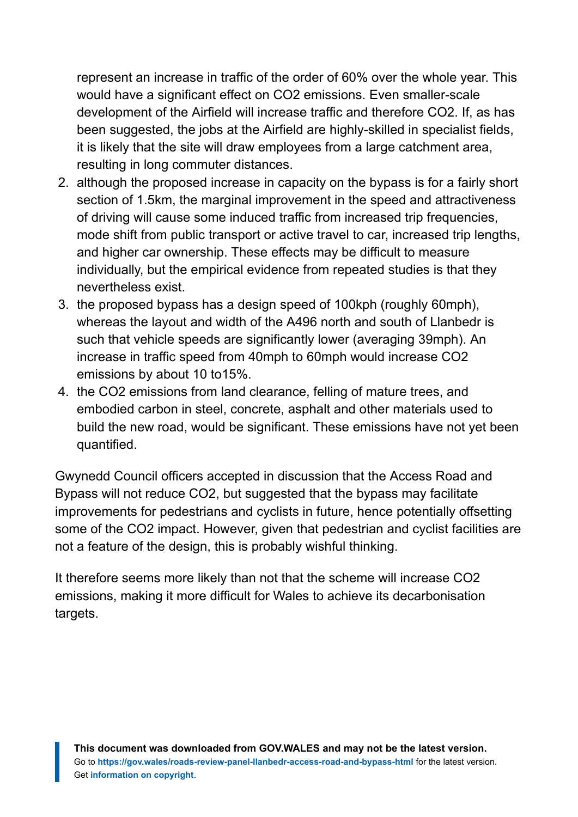represent an increase in traffic of the order of 60% over the whole year. This would have a significant effect on CO2 emissions. Even smaller-scale development of the Airfield will increase traffic and therefore CO2. If, as has been suggested, the jobs at the Airfield are highly-skilled in specialist fields, it is likely that the site will draw employees from a large catchment area, resulting in long commuter distances.

- 2. although the proposed increase in capacity on the bypass is for a fairly short section of 1.5km, the marginal improvement in the speed and attractiveness of driving will cause some induced traffic from increased trip frequencies, mode shift from public transport or active travel to car, increased trip lengths, and higher car ownership. These effects may be difficult to measure individually, but the empirical evidence from repeated studies is that they nevertheless exist.
- 3. the proposed bypass has a design speed of 100kph (roughly 60mph), whereas the layout and width of the A496 north and south of Llanbedr is such that vehicle speeds are significantly lower (averaging 39mph). An increase in traffic speed from 40mph to 60mph would increase CO2 emissions by about 10 to15%.
- 4. the CO2 emissions from land clearance, felling of mature trees, and embodied carbon in steel, concrete, asphalt and other materials used to build the new road, would be significant. These emissions have not yet been quantified.

Gwynedd Council officers accepted in discussion that the Access Road and Bypass will not reduce CO2, but suggested that the bypass may facilitate improvements for pedestrians and cyclists in future, hence potentially offsetting some of the CO2 impact. However, given that pedestrian and cyclist facilities are not a feature of the design, this is probably wishful thinking.

It therefore seems more likely than not that the scheme will increase CO2 emissions, making it more difficult for Wales to achieve its decarbonisation targets.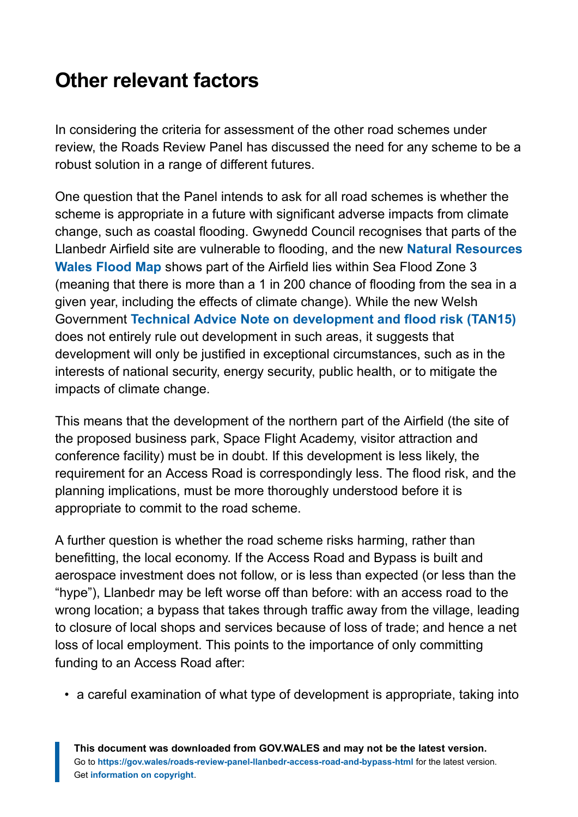# <span id="page-11-0"></span>**Other relevant factors**

In considering the criteria for assessment of the other road schemes under review, the Roads Review Panel has discussed the need for any scheme to be a robust solution in a range of different futures.

One question that the Panel intends to ask for all road schemes is whether the scheme is appropriate in a future with significant adverse impacts from climate change, such as coastal flooding. Gwynedd Council recognises that parts of the Llanbedr Airfield site are vulnerable to flooding, and the new **[Natural Resources](https://maps.cyfoethnaturiolcymru.gov.uk/Html5Viewer/Index.html?configBase=https://maps.cyfoethnaturiolcymru.gov.uk/Geocortex/Essentials/REST/sites/Flood_Risk/viewers/Flood_Risk/virtualdirectory/Resources/Config/Default&layerTheme=2) [Wales Flood Map](https://maps.cyfoethnaturiolcymru.gov.uk/Html5Viewer/Index.html?configBase=https://maps.cyfoethnaturiolcymru.gov.uk/Geocortex/Essentials/REST/sites/Flood_Risk/viewers/Flood_Risk/virtualdirectory/Resources/Config/Default&layerTheme=2)** shows part of the Airfield lies within Sea Flood Zone 3 (meaning that there is more than a 1 in 200 chance of flooding from the sea in a given year, including the effects of climate change). While the new Welsh Government **[Technical Advice Note on development and flood risk \(TAN15\)](https://gov.wales/technical-advice-note-tan-15-development-and-flood-risk-2004)** does not entirely rule out development in such areas, it suggests that development will only be justified in exceptional circumstances, such as in the interests of national security, energy security, public health, or to mitigate the impacts of climate change.

This means that the development of the northern part of the Airfield (the site of the proposed business park, Space Flight Academy, visitor attraction and conference facility) must be in doubt. If this development is less likely, the requirement for an Access Road is correspondingly less. The flood risk, and the planning implications, must be more thoroughly understood before it is appropriate to commit to the road scheme.

A further question is whether the road scheme risks harming, rather than benefitting, the local economy. If the Access Road and Bypass is built and aerospace investment does not follow, or is less than expected (or less than the "hype"), Llanbedr may be left worse off than before: with an access road to the wrong location; a bypass that takes through traffic away from the village, leading to closure of local shops and services because of loss of trade; and hence a net loss of local employment. This points to the importance of only committing funding to an Access Road after:

• a careful examination of what type of development is appropriate, taking into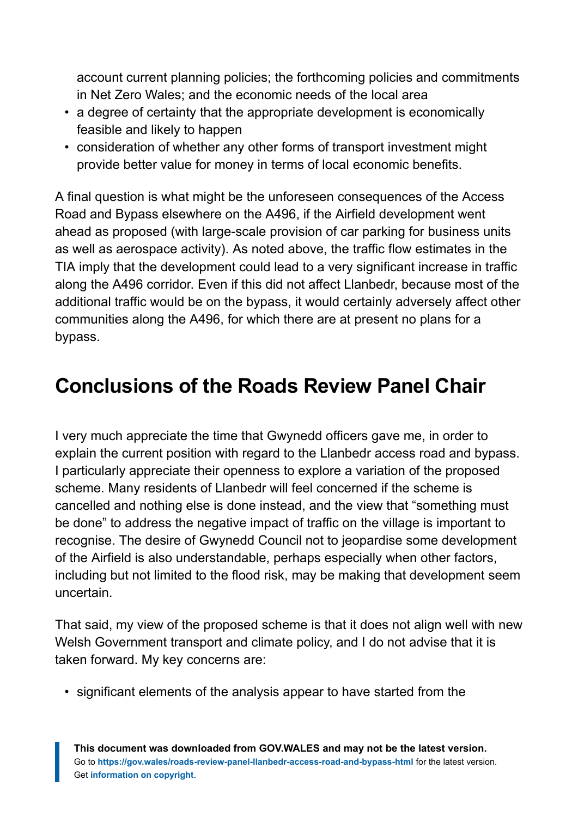account current planning policies; the forthcoming policies and commitments in Net Zero Wales; and the economic needs of the local area

- a degree of certainty that the appropriate development is economically feasible and likely to happen
- consideration of whether any other forms of transport investment might provide better value for money in terms of local economic benefits.

A final question is what might be the unforeseen consequences of the Access Road and Bypass elsewhere on the A496, if the Airfield development went ahead as proposed (with large-scale provision of car parking for business units as well as aerospace activity). As noted above, the traffic flow estimates in the TIA imply that the development could lead to a very significant increase in traffic along the A496 corridor. Even if this did not affect Llanbedr, because most of the additional traffic would be on the bypass, it would certainly adversely affect other communities along the A496, for which there are at present no plans for a bypass.

# <span id="page-12-0"></span>**Conclusions of the Roads Review Panel Chair**

I very much appreciate the time that Gwynedd officers gave me, in order to explain the current position with regard to the Llanbedr access road and bypass. I particularly appreciate their openness to explore a variation of the proposed scheme. Many residents of Llanbedr will feel concerned if the scheme is cancelled and nothing else is done instead, and the view that "something must be done" to address the negative impact of traffic on the village is important to recognise. The desire of Gwynedd Council not to jeopardise some development of the Airfield is also understandable, perhaps especially when other factors, including but not limited to the flood risk, may be making that development seem uncertain.

That said, my view of the proposed scheme is that it does not align well with new Welsh Government transport and climate policy, and I do not advise that it is taken forward. My key concerns are:

• significant elements of the analysis appear to have started from the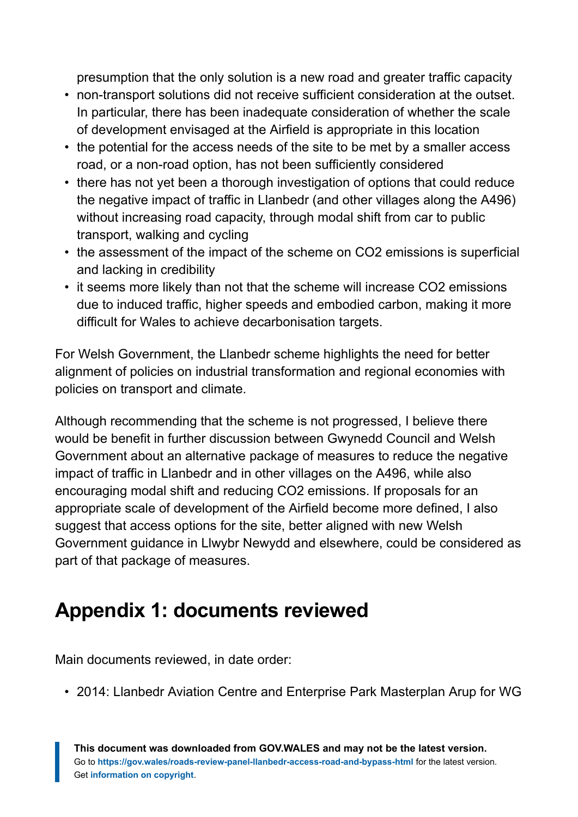presumption that the only solution is a new road and greater traffic capacity

- non-transport solutions did not receive sufficient consideration at the outset. In particular, there has been inadequate consideration of whether the scale of development envisaged at the Airfield is appropriate in this location
- the potential for the access needs of the site to be met by a smaller access road, or a non-road option, has not been sufficiently considered
- there has not yet been a thorough investigation of options that could reduce the negative impact of traffic in Llanbedr (and other villages along the A496) without increasing road capacity, through modal shift from car to public transport, walking and cycling
- the assessment of the impact of the scheme on CO2 emissions is superficial and lacking in credibility
- it seems more likely than not that the scheme will increase CO2 emissions due to induced traffic, higher speeds and embodied carbon, making it more difficult for Wales to achieve decarbonisation targets.

For Welsh Government, the Llanbedr scheme highlights the need for better alignment of policies on industrial transformation and regional economies with policies on transport and climate.

Although recommending that the scheme is not progressed, I believe there would be benefit in further discussion between Gwynedd Council and Welsh Government about an alternative package of measures to reduce the negative impact of traffic in Llanbedr and in other villages on the A496, while also encouraging modal shift and reducing CO2 emissions. If proposals for an appropriate scale of development of the Airfield become more defined, I also suggest that access options for the site, better aligned with new Welsh Government guidance in Llwybr Newydd and elsewhere, could be considered as part of that package of measures.

# <span id="page-13-0"></span>**Appendix 1: documents reviewed**

Main documents reviewed, in date order:

• 2014: Llanbedr Aviation Centre and Enterprise Park Masterplan Arup for WG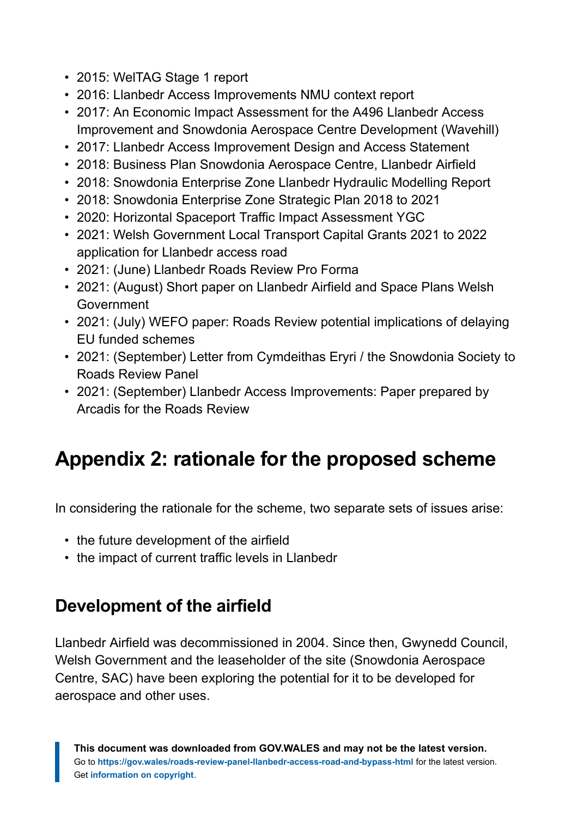- 2015: WelTAG Stage 1 report
- 2016: Llanbedr Access Improvements NMU context report
- 2017: An Economic Impact Assessment for the A496 Llanbedr Access Improvement and Snowdonia Aerospace Centre Development (Wavehill)
- 2017: Llanbedr Access Improvement Design and Access Statement
- 2018: Business Plan Snowdonia Aerospace Centre, Llanbedr Airfield
- 2018: Snowdonia Enterprise Zone Llanbedr Hydraulic Modelling Report
- 2018: Snowdonia Enterprise Zone Strategic Plan 2018 to 2021
- 2020: Horizontal Spaceport Traffic Impact Assessment YGC
- 2021: Welsh Government Local Transport Capital Grants 2021 to 2022 application for Llanbedr access road
- 2021: (June) Llanbedr Roads Review Pro Forma
- 2021: (August) Short paper on Llanbedr Airfield and Space Plans Welsh Government
- 2021: (July) WEFO paper: Roads Review potential implications of delaying EU funded schemes
- 2021: (September) Letter from Cymdeithas Eryri / the Snowdonia Society to Roads Review Panel
- 2021: (September) Llanbedr Access Improvements: Paper prepared by Arcadis for the Roads Review

# <span id="page-14-0"></span>**Appendix 2: rationale for the proposed scheme**

In considering the rationale for the scheme, two separate sets of issues arise:

- the future development of the airfield
- the impact of current traffic levels in Llanbedr

## **Development of the airfield**

Llanbedr Airfield was decommissioned in 2004. Since then, Gwynedd Council, Welsh Government and the leaseholder of the site (Snowdonia Aerospace Centre, SAC) have been exploring the potential for it to be developed for aerospace and other uses.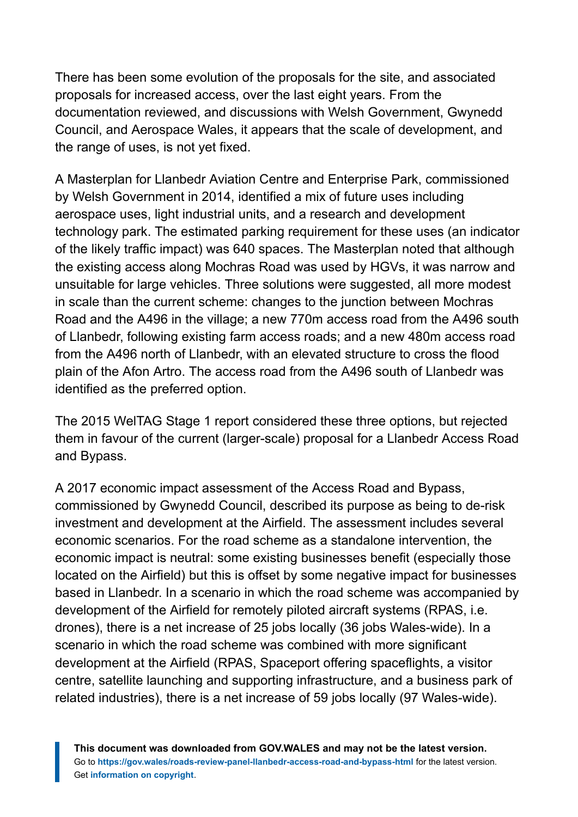There has been some evolution of the proposals for the site, and associated proposals for increased access, over the last eight years. From the documentation reviewed, and discussions with Welsh Government, Gwynedd Council, and Aerospace Wales, it appears that the scale of development, and the range of uses, is not yet fixed.

A Masterplan for Llanbedr Aviation Centre and Enterprise Park, commissioned by Welsh Government in 2014, identified a mix of future uses including aerospace uses, light industrial units, and a research and development technology park. The estimated parking requirement for these uses (an indicator of the likely traffic impact) was 640 spaces. The Masterplan noted that although the existing access along Mochras Road was used by HGVs, it was narrow and unsuitable for large vehicles. Three solutions were suggested, all more modest in scale than the current scheme: changes to the junction between Mochras Road and the A496 in the village; a new 770m access road from the A496 south of Llanbedr, following existing farm access roads; and a new 480m access road from the A496 north of Llanbedr, with an elevated structure to cross the flood plain of the Afon Artro. The access road from the A496 south of Llanbedr was identified as the preferred option.

The 2015 WelTAG Stage 1 report considered these three options, but rejected them in favour of the current (larger-scale) proposal for a Llanbedr Access Road and Bypass.

A 2017 economic impact assessment of the Access Road and Bypass, commissioned by Gwynedd Council, described its purpose as being to de-risk investment and development at the Airfield. The assessment includes several economic scenarios. For the road scheme as a standalone intervention, the economic impact is neutral: some existing businesses benefit (especially those located on the Airfield) but this is offset by some negative impact for businesses based in Llanbedr. In a scenario in which the road scheme was accompanied by development of the Airfield for remotely piloted aircraft systems (RPAS, i.e. drones), there is a net increase of 25 jobs locally (36 jobs Wales-wide). In a scenario in which the road scheme was combined with more significant development at the Airfield (RPAS, Spaceport offering spaceflights, a visitor centre, satellite launching and supporting infrastructure, and a business park of related industries), there is a net increase of 59 jobs locally (97 Wales-wide).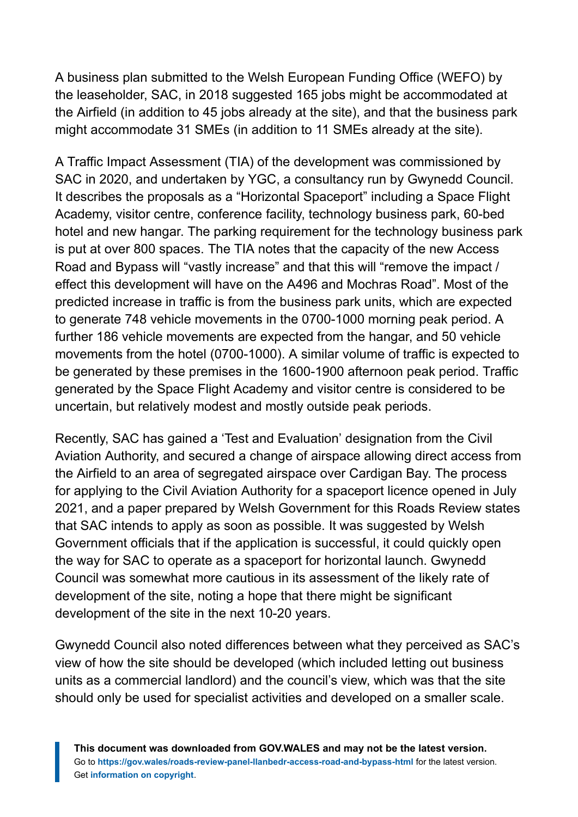A business plan submitted to the Welsh European Funding Office (WEFO) by the leaseholder, SAC, in 2018 suggested 165 jobs might be accommodated at the Airfield (in addition to 45 jobs already at the site), and that the business park might accommodate 31 SMEs (in addition to 11 SMEs already at the site).

A Traffic Impact Assessment (TIA) of the development was commissioned by SAC in 2020, and undertaken by YGC, a consultancy run by Gwynedd Council. It describes the proposals as a "Horizontal Spaceport" including a Space Flight Academy, visitor centre, conference facility, technology business park, 60-bed hotel and new hangar. The parking requirement for the technology business park is put at over 800 spaces. The TIA notes that the capacity of the new Access Road and Bypass will "vastly increase" and that this will "remove the impact / effect this development will have on the A496 and Mochras Road". Most of the predicted increase in traffic is from the business park units, which are expected to generate 748 vehicle movements in the 0700-1000 morning peak period. A further 186 vehicle movements are expected from the hangar, and 50 vehicle movements from the hotel (0700-1000). A similar volume of traffic is expected to be generated by these premises in the 1600-1900 afternoon peak period. Traffic generated by the Space Flight Academy and visitor centre is considered to be uncertain, but relatively modest and mostly outside peak periods.

Recently, SAC has gained a 'Test and Evaluation' designation from the Civil Aviation Authority, and secured a change of airspace allowing direct access from the Airfield to an area of segregated airspace over Cardigan Bay. The process for applying to the Civil Aviation Authority for a spaceport licence opened in July 2021, and a paper prepared by Welsh Government for this Roads Review states that SAC intends to apply as soon as possible. It was suggested by Welsh Government officials that if the application is successful, it could quickly open the way for SAC to operate as a spaceport for horizontal launch. Gwynedd Council was somewhat more cautious in its assessment of the likely rate of development of the site, noting a hope that there might be significant development of the site in the next 10-20 years.

Gwynedd Council also noted differences between what they perceived as SAC's view of how the site should be developed (which included letting out business units as a commercial landlord) and the council's view, which was that the site should only be used for specialist activities and developed on a smaller scale.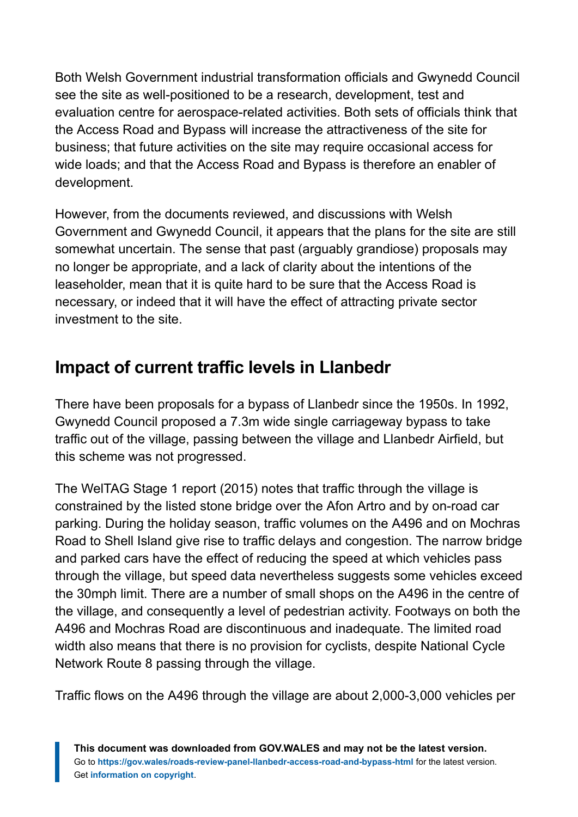Both Welsh Government industrial transformation officials and Gwynedd Council see the site as well-positioned to be a research, development, test and evaluation centre for aerospace-related activities. Both sets of officials think that the Access Road and Bypass will increase the attractiveness of the site for business; that future activities on the site may require occasional access for wide loads; and that the Access Road and Bypass is therefore an enabler of development.

However, from the documents reviewed, and discussions with Welsh Government and Gwynedd Council, it appears that the plans for the site are still somewhat uncertain. The sense that past (arguably grandiose) proposals may no longer be appropriate, and a lack of clarity about the intentions of the leaseholder, mean that it is quite hard to be sure that the Access Road is necessary, or indeed that it will have the effect of attracting private sector investment to the site.

## **Impact of current traffic levels in Llanbedr**

There have been proposals for a bypass of Llanbedr since the 1950s. In 1992, Gwynedd Council proposed a 7.3m wide single carriageway bypass to take traffic out of the village, passing between the village and Llanbedr Airfield, but this scheme was not progressed.

The WelTAG Stage 1 report (2015) notes that traffic through the village is constrained by the listed stone bridge over the Afon Artro and by on-road car parking. During the holiday season, traffic volumes on the A496 and on Mochras Road to Shell Island give rise to traffic delays and congestion. The narrow bridge and parked cars have the effect of reducing the speed at which vehicles pass through the village, but speed data nevertheless suggests some vehicles exceed the 30mph limit. There are a number of small shops on the A496 in the centre of the village, and consequently a level of pedestrian activity. Footways on both the A496 and Mochras Road are discontinuous and inadequate. The limited road width also means that there is no provision for cyclists, despite National Cycle Network Route 8 passing through the village.

Traffic flows on the A496 through the village are about 2,000-3,000 vehicles per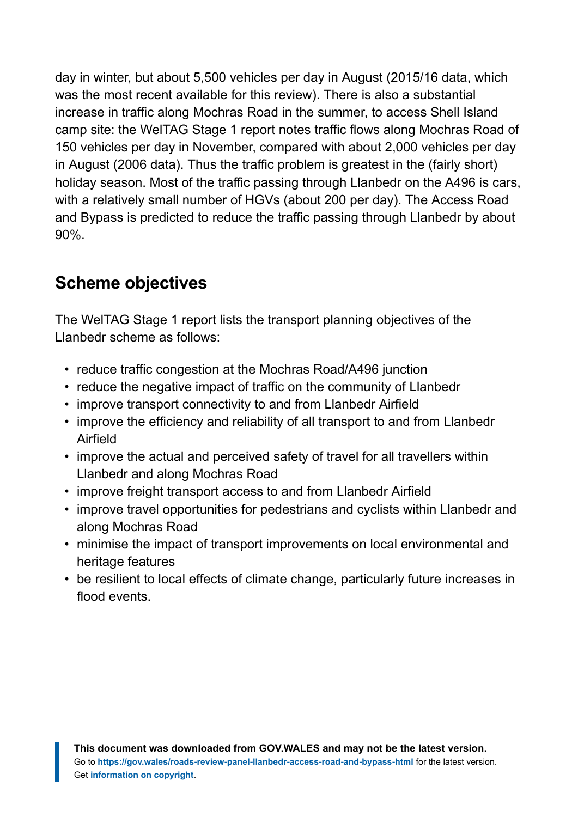day in winter, but about 5,500 vehicles per day in August (2015/16 data, which was the most recent available for this review). There is also a substantial increase in traffic along Mochras Road in the summer, to access Shell Island camp site: the WelTAG Stage 1 report notes traffic flows along Mochras Road of 150 vehicles per day in November, compared with about 2,000 vehicles per day in August (2006 data). Thus the traffic problem is greatest in the (fairly short) holiday season. Most of the traffic passing through Llanbedr on the A496 is cars, with a relatively small number of HGVs (about 200 per day). The Access Road and Bypass is predicted to reduce the traffic passing through Llanbedr by about 90%.

## **Scheme objectives**

The WelTAG Stage 1 report lists the transport planning objectives of the Llanbedr scheme as follows:

- reduce traffic congestion at the Mochras Road/A496 junction
- reduce the negative impact of traffic on the community of Llanbedr
- improve transport connectivity to and from Llanbedr Airfield
- improve the efficiency and reliability of all transport to and from Llanbedr Airfield
- improve the actual and perceived safety of travel for all travellers within Llanbedr and along Mochras Road
- improve freight transport access to and from Llanbedr Airfield
- improve travel opportunities for pedestrians and cyclists within Llanbedr and along Mochras Road
- minimise the impact of transport improvements on local environmental and heritage features
- be resilient to local effects of climate change, particularly future increases in flood events.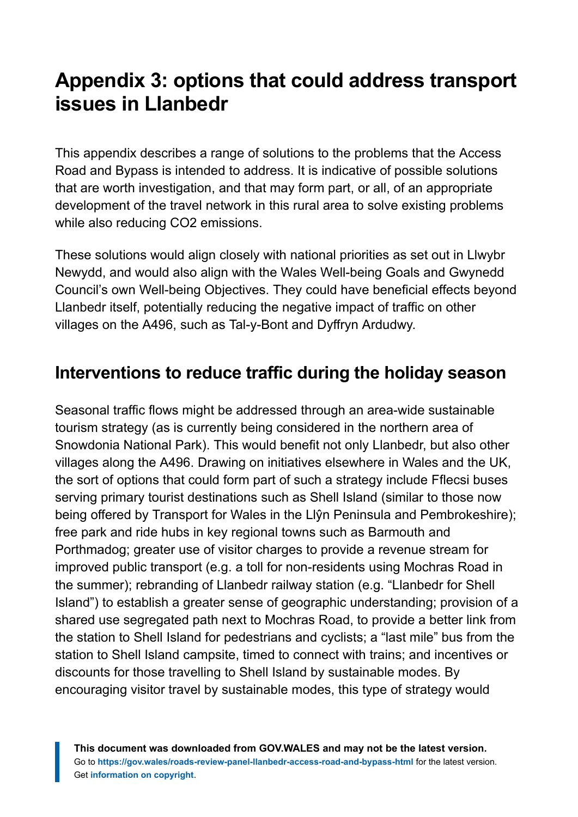## <span id="page-19-0"></span>**Appendix 3: options that could address transport issues in Llanbedr**

This appendix describes a range of solutions to the problems that the Access Road and Bypass is intended to address. It is indicative of possible solutions that are worth investigation, and that may form part, or all, of an appropriate development of the travel network in this rural area to solve existing problems while also reducing CO2 emissions.

These solutions would align closely with national priorities as set out in Llwybr Newydd, and would also align with the Wales Well-being Goals and Gwynedd Council's own Well-being Objectives. They could have beneficial effects beyond Llanbedr itself, potentially reducing the negative impact of traffic on other villages on the A496, such as Tal-y-Bont and Dyffryn Ardudwy.

## **Interventions to reduce traffic during the holiday season**

Seasonal traffic flows might be addressed through an area-wide sustainable tourism strategy (as is currently being considered in the northern area of Snowdonia National Park). This would benefit not only Llanbedr, but also other villages along the A496. Drawing on initiatives elsewhere in Wales and the UK, the sort of options that could form part of such a strategy include Fflecsi buses serving primary tourist destinations such as Shell Island (similar to those now being offered by Transport for Wales in the Llŷn Peninsula and Pembrokeshire); free park and ride hubs in key regional towns such as Barmouth and Porthmadog; greater use of visitor charges to provide a revenue stream for improved public transport (e.g. a toll for non-residents using Mochras Road in the summer); rebranding of Llanbedr railway station (e.g. "Llanbedr for Shell Island") to establish a greater sense of geographic understanding; provision of a shared use segregated path next to Mochras Road, to provide a better link from the station to Shell Island for pedestrians and cyclists; a "last mile" bus from the station to Shell Island campsite, timed to connect with trains; and incentives or discounts for those travelling to Shell Island by sustainable modes. By encouraging visitor travel by sustainable modes, this type of strategy would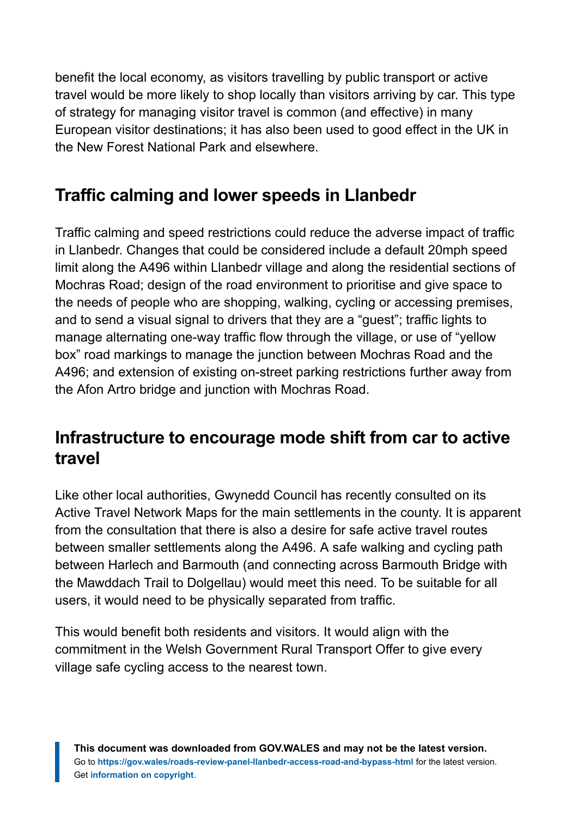benefit the local economy, as visitors travelling by public transport or active travel would be more likely to shop locally than visitors arriving by car. This type of strategy for managing visitor travel is common (and effective) in many European visitor destinations; it has also been used to good effect in the UK in the New Forest National Park and elsewhere.

## **Traffic calming and lower speeds in Llanbedr**

Traffic calming and speed restrictions could reduce the adverse impact of traffic in Llanbedr. Changes that could be considered include a default 20mph speed limit along the A496 within Llanbedr village and along the residential sections of Mochras Road; design of the road environment to prioritise and give space to the needs of people who are shopping, walking, cycling or accessing premises, and to send a visual signal to drivers that they are a "guest"; traffic lights to manage alternating one-way traffic flow through the village, or use of "yellow box" road markings to manage the junction between Mochras Road and the A496; and extension of existing on-street parking restrictions further away from the Afon Artro bridge and junction with Mochras Road.

#### **Infrastructure to encourage mode shift from car to active travel**

Like other local authorities, Gwynedd Council has recently consulted on its Active Travel Network Maps for the main settlements in the county. It is apparent from the consultation that there is also a desire for safe active travel routes between smaller settlements along the A496. A safe walking and cycling path between Harlech and Barmouth (and connecting across Barmouth Bridge with the Mawddach Trail to Dolgellau) would meet this need. To be suitable for all users, it would need to be physically separated from traffic.

This would benefit both residents and visitors. It would align with the commitment in the Welsh Government Rural Transport Offer to give every village safe cycling access to the nearest town.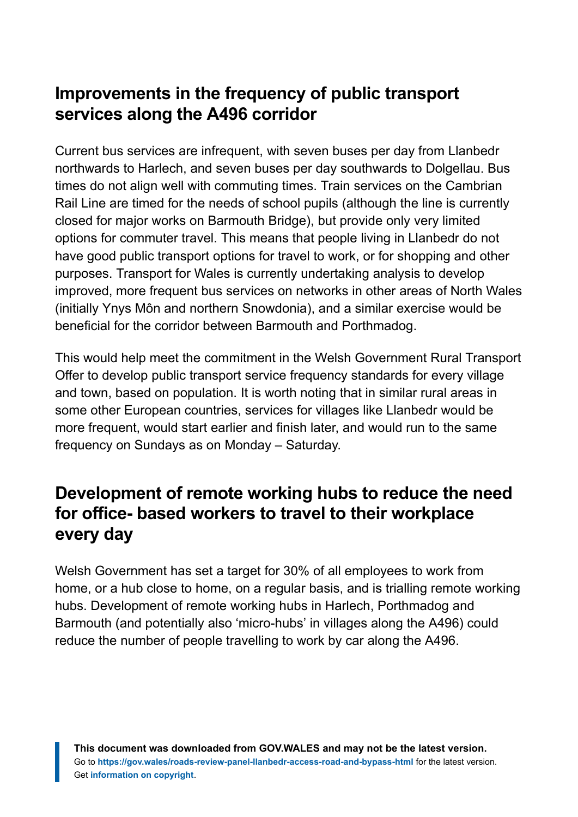## **Improvements in the frequency of public transport services along the A496 corridor**

Current bus services are infrequent, with seven buses per day from Llanbedr northwards to Harlech, and seven buses per day southwards to Dolgellau. Bus times do not align well with commuting times. Train services on the Cambrian Rail Line are timed for the needs of school pupils (although the line is currently closed for major works on Barmouth Bridge), but provide only very limited options for commuter travel. This means that people living in Llanbedr do not have good public transport options for travel to work, or for shopping and other purposes. Transport for Wales is currently undertaking analysis to develop improved, more frequent bus services on networks in other areas of North Wales (initially Ynys Môn and northern Snowdonia), and a similar exercise would be beneficial for the corridor between Barmouth and Porthmadog.

This would help meet the commitment in the Welsh Government Rural Transport Offer to develop public transport service frequency standards for every village and town, based on population. It is worth noting that in similar rural areas in some other European countries, services for villages like Llanbedr would be more frequent, would start earlier and finish later, and would run to the same frequency on Sundays as on Monday – Saturday.

## **Development of remote working hubs to reduce the need for office- based workers to travel to their workplace every day**

Welsh Government has set a target for 30% of all employees to work from home, or a hub close to home, on a regular basis, and is trialling remote working hubs. Development of remote working hubs in Harlech, Porthmadog and Barmouth (and potentially also 'micro-hubs' in villages along the A496) could reduce the number of people travelling to work by car along the A496.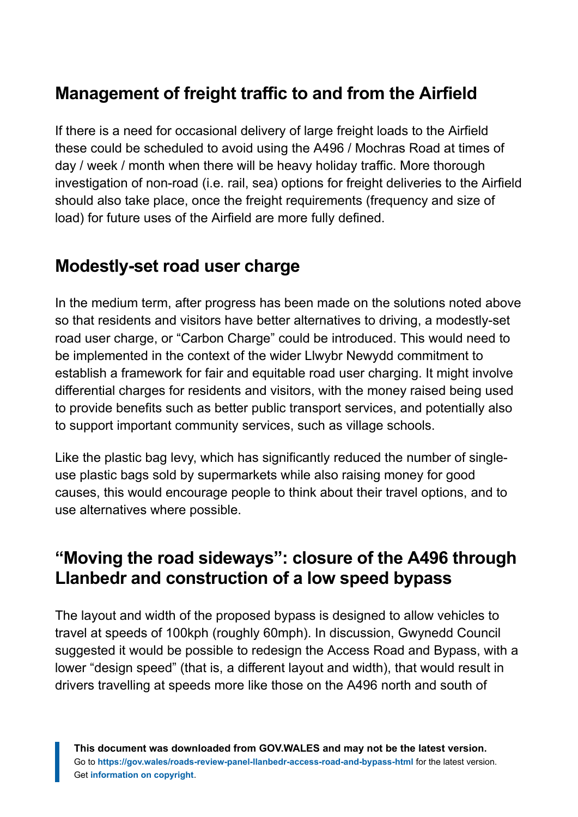## **Management of freight traffic to and from the Airfield**

If there is a need for occasional delivery of large freight loads to the Airfield these could be scheduled to avoid using the A496 / Mochras Road at times of day / week / month when there will be heavy holiday traffic. More thorough investigation of non-road (i.e. rail, sea) options for freight deliveries to the Airfield should also take place, once the freight requirements (frequency and size of load) for future uses of the Airfield are more fully defined.

## **Modestly-set road user charge**

In the medium term, after progress has been made on the solutions noted above so that residents and visitors have better alternatives to driving, a modestly-set road user charge, or "Carbon Charge" could be introduced. This would need to be implemented in the context of the wider Llwybr Newydd commitment to establish a framework for fair and equitable road user charging. It might involve differential charges for residents and visitors, with the money raised being used to provide benefits such as better public transport services, and potentially also to support important community services, such as village schools.

Like the plastic bag levy, which has significantly reduced the number of singleuse plastic bags sold by supermarkets while also raising money for good causes, this would encourage people to think about their travel options, and to use alternatives where possible.

## **"Moving the road sideways": closure of the A496 through Llanbedr and construction of a low speed bypass**

The layout and width of the proposed bypass is designed to allow vehicles to travel at speeds of 100kph (roughly 60mph). In discussion, Gwynedd Council suggested it would be possible to redesign the Access Road and Bypass, with a lower "design speed" (that is, a different layout and width), that would result in drivers travelling at speeds more like those on the A496 north and south of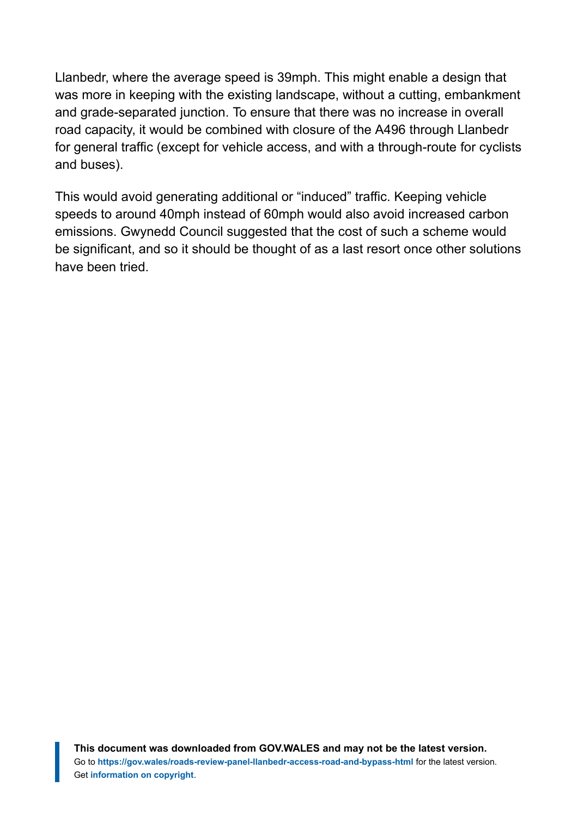Llanbedr, where the average speed is 39mph. This might enable a design that was more in keeping with the existing landscape, without a cutting, embankment and grade-separated junction. To ensure that there was no increase in overall road capacity, it would be combined with closure of the A496 through Llanbedr for general traffic (except for vehicle access, and with a through-route for cyclists and buses).

This would avoid generating additional or "induced" traffic. Keeping vehicle speeds to around 40mph instead of 60mph would also avoid increased carbon emissions. Gwynedd Council suggested that the cost of such a scheme would be significant, and so it should be thought of as a last resort once other solutions have been tried.